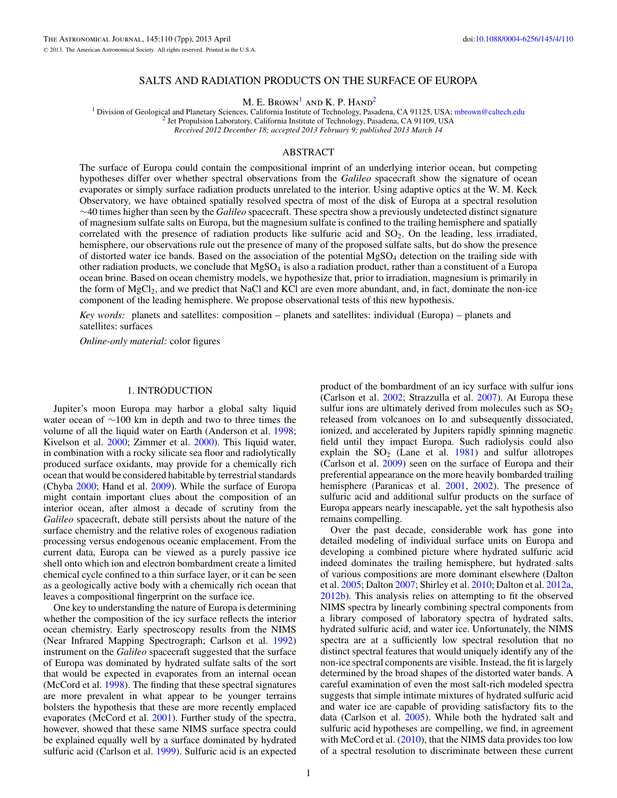# SALTS AND RADIATION PRODUCTS ON THE SURFACE OF EUROPA

 $M$ . E. Brown<sup>1</sup> and K. P. Hand<sup>2</sup>

<sup>1</sup> Division of Geological and Planetary Sciences, California Institute of Technology, Pasadena, CA 91125, USA; [mbrown@caltech.edu](mailto:mbrown@caltech.edu) <sup>2</sup> Jet Propulsion Laboratory, California Institute of Technology, Pasadena, CA 91109, USA *Received 2012 December 18; accepted 2013 February 9; published 2013 March 14*

# ABSTRACT

The surface of Europa could contain the compositional imprint of an underlying interior ocean, but competing hypotheses differ over whether spectral observations from the *Galileo* spacecraft show the signature of ocean evaporates or simply surface radiation products unrelated to the interior. Using adaptive optics at the W. M. Keck Observatory, we have obtained spatially resolved spectra of most of the disk of Europa at a spectral resolution ∼40 times higher than seen by the *Galileo* spacecraft. These spectra show a previously undetected distinct signature of magnesium sulfate salts on Europa, but the magnesium sulfate is confined to the trailing hemisphere and spatially correlated with the presence of radiation products like sulfuric acid and  $SO_2$ . On the leading, less irradiated, hemisphere, our observations rule out the presence of many of the proposed sulfate salts, but do show the presence of distorted water ice bands. Based on the association of the potential  $MgSO<sub>4</sub>$  detection on the trailing side with other radiation products, we conclude that  $MgSO_4$  is also a radiation product, rather than a constituent of a Europa ocean brine. Based on ocean chemistry models, we hypothesize that, prior to irradiation, magnesium is primarily in the form of  $MgCl<sub>2</sub>$ , and we predict that NaCl and KCl are even more abundant, and, in fact, dominate the non-ice component of the leading hemisphere. We propose observational tests of this new hypothesis.

*Key words:* planets and satellites: composition – planets and satellites: individual (Europa) – planets and satellites: surfaces

*Online-only material:* color figures

#### 1. INTRODUCTION

Jupiter's moon Europa may harbor a global salty liquid water ocean of ∼100 km in depth and two to three times the volume of all the liquid water on Earth (Anderson et al. [1998;](#page-6-0) Kivelson et al. [2000;](#page-6-0) Zimmer et al. [2000\)](#page-6-0). This liquid water, in combination with a rocky silicate sea floor and radiolytically produced surface oxidants, may provide for a chemically rich ocean that would be considered habitable by terrestrial standards (Chyba [2000;](#page-6-0) Hand et al. [2009\)](#page-6-0). While the surface of Europa might contain important clues about the composition of an interior ocean, after almost a decade of scrutiny from the *Galileo* spacecraft, debate still persists about the nature of the surface chemistry and the relative roles of exogenous radiation processing versus endogenous oceanic emplacement. From the current data, Europa can be viewed as a purely passive ice shell onto which ion and electron bombardment create a limited chemical cycle confined to a thin surface layer, or it can be seen as a geologically active body with a chemically rich ocean that leaves a compositional fingerprint on the surface ice.

One key to understanding the nature of Europa is determining whether the composition of the icy surface reflects the interior ocean chemistry. Early spectroscopy results from the NIMS (Near Infrared Mapping Spectrograph; Carlson et al. [1992\)](#page-6-0) instrument on the *Galileo* spacecraft suggested that the surface of Europa was dominated by hydrated sulfate salts of the sort that would be expected in evaporates from an internal ocean (McCord et al. [1998\)](#page-6-0). The finding that these spectral signatures are more prevalent in what appear to be younger terrains bolsters the hypothesis that these are more recently emplaced evaporates (McCord et al. [2001\)](#page-6-0). Further study of the spectra, however, showed that these same NIMS surface spectra could be explained equally well by a surface dominated by hydrated sulfuric acid (Carlson et al. [1999\)](#page-6-0). Sulfuric acid is an expected

product of the bombardment of an icy surface with sulfur ions (Carlson et al. [2002;](#page-6-0) Strazzulla et al. [2007\)](#page-6-0). At Europa these sulfur ions are ultimately derived from molecules such as  $SO<sub>2</sub>$ released from volcanoes on Io and subsequently dissociated, ionized, and accelerated by Jupiters rapidly spinning magnetic field until they impact Europa. Such radiolysis could also explain the  $SO_2$  (Lane et al. [1981\)](#page-6-0) and sulfur allotropes (Carlson et al. [2009\)](#page-6-0) seen on the surface of Europa and their preferential appearance on the more heavily bombarded trailing hemisphere (Paranicas et al. [2001,](#page-6-0) [2002\)](#page-6-0). The presence of sulfuric acid and additional sulfur products on the surface of Europa appears nearly inescapable, yet the salt hypothesis also remains compelling.

Over the past decade, considerable work has gone into detailed modeling of individual surface units on Europa and developing a combined picture where hydrated sulfuric acid indeed dominates the trailing hemisphere, but hydrated salts of various compositions are more dominant elsewhere (Dalton et al. [2005;](#page-6-0) Dalton [2007;](#page-6-0) Shirley et al. [2010;](#page-6-0) Dalton et al. [2012a,](#page-6-0) [2012b\)](#page-6-0). This analysis relies on attempting to fit the observed NIMS spectra by linearly combining spectral components from a library composed of laboratory spectra of hydrated salts, hydrated sulfuric acid, and water ice. Unfortunately, the NIMS spectra are at a sufficiently low spectral resolution that no distinct spectral features that would uniquely identify any of the non-ice spectral components are visible. Instead, the fit is largely determined by the broad shapes of the distorted water bands. A careful examination of even the most salt-rich modeled spectra suggests that simple intimate mixtures of hydrated sulfuric acid and water ice are capable of providing satisfactory fits to the data (Carlson et al. [2005\)](#page-6-0). While both the hydrated salt and sulfuric acid hypotheses are compelling, we find, in agreement with McCord et al. [\(2010\)](#page-6-0), that the NIMS data provides too low of a spectral resolution to discriminate between these current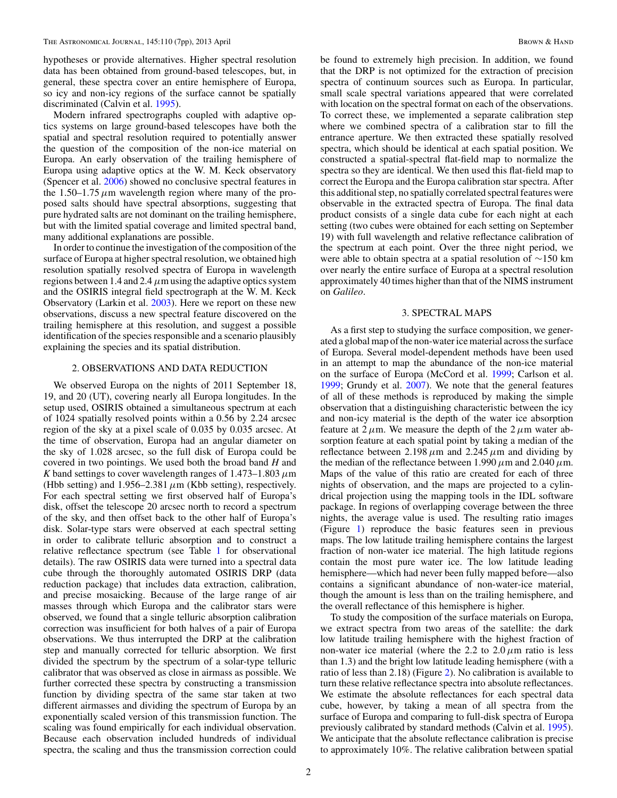hypotheses or provide alternatives. Higher spectral resolution data has been obtained from ground-based telescopes, but, in general, these spectra cover an entire hemisphere of Europa, so icy and non-icy regions of the surface cannot be spatially discriminated (Calvin et al. [1995\)](#page-6-0).

Modern infrared spectrographs coupled with adaptive optics systems on large ground-based telescopes have both the spatial and spectral resolution required to potentially answer the question of the composition of the non-ice material on Europa. An early observation of the trailing hemisphere of Europa using adaptive optics at the W. M. Keck observatory (Spencer et al. [2006\)](#page-6-0) showed no conclusive spectral features in the  $1.50-1.75 \mu m$  wavelength region where many of the proposed salts should have spectral absorptions, suggesting that pure hydrated salts are not dominant on the trailing hemisphere, but with the limited spatial coverage and limited spectral band, many additional explanations are possible.

In order to continue the investigation of the composition of the surface of Europa at higher spectral resolution, we obtained high resolution spatially resolved spectra of Europa in wavelength regions between 1.4 and 2.4  $\mu$ m using the adaptive optics system and the OSIRIS integral field spectrograph at the W. M. Keck Observatory (Larkin et al. [2003\)](#page-6-0). Here we report on these new observations, discuss a new spectral feature discovered on the trailing hemisphere at this resolution, and suggest a possible identification of the species responsible and a scenario plausibly explaining the species and its spatial distribution.

### 2. OBSERVATIONS AND DATA REDUCTION

We observed Europa on the nights of 2011 September 18, 19, and 20 (UT), covering nearly all Europa longitudes. In the setup used, OSIRIS obtained a simultaneous spectrum at each of 1024 spatially resolved points within a 0.56 by 2.24 arcsec region of the sky at a pixel scale of 0.035 by 0.035 arcsec. At the time of observation, Europa had an angular diameter on the sky of 1.028 arcsec, so the full disk of Europa could be covered in two pointings. We used both the broad band *H* and *K* band settings to cover wavelength ranges of  $1.473-1.803 \mu m$ (Hbb setting) and  $1.956 - 2.381 \mu m$  (Kbb setting), respectively. For each spectral setting we first observed half of Europa's disk, offset the telescope 20 arcsec north to record a spectrum of the sky, and then offset back to the other half of Europa's disk. Solar-type stars were observed at each spectral setting in order to calibrate telluric absorption and to construct a relative reflectance spectrum (see Table [1](#page-2-0) for observational details). The raw OSIRIS data were turned into a spectral data cube through the thoroughly automated OSIRIS DRP (data reduction package) that includes data extraction, calibration, and precise mosaicking. Because of the large range of air masses through which Europa and the calibrator stars were observed, we found that a single telluric absorption calibration correction was insufficient for both halves of a pair of Europa observations. We thus interrupted the DRP at the calibration step and manually corrected for telluric absorption. We first divided the spectrum by the spectrum of a solar-type telluric calibrator that was observed as close in airmass as possible. We further corrected these spectra by constructing a transmission function by dividing spectra of the same star taken at two different airmasses and dividing the spectrum of Europa by an exponentially scaled version of this transmission function. The scaling was found empirically for each individual observation. Because each observation included hundreds of individual spectra, the scaling and thus the transmission correction could

be found to extremely high precision. In addition, we found that the DRP is not optimized for the extraction of precision spectra of continuum sources such as Europa. In particular, small scale spectral variations appeared that were correlated with location on the spectral format on each of the observations. To correct these, we implemented a separate calibration step where we combined spectra of a calibration star to fill the entrance aperture. We then extracted these spatially resolved spectra, which should be identical at each spatial position. We constructed a spatial-spectral flat-field map to normalize the spectra so they are identical. We then used this flat-field map to correct the Europa and the Europa calibration star spectra. After this additional step, no spatially correlated spectral features were observable in the extracted spectra of Europa. The final data product consists of a single data cube for each night at each setting (two cubes were obtained for each setting on September 19) with full wavelength and relative reflectance calibration of the spectrum at each point. Over the three night period, we were able to obtain spectra at a spatial resolution of ∼150 km over nearly the entire surface of Europa at a spectral resolution approximately 40 times higher than that of the NIMS instrument on *Galileo*.

#### 3. SPECTRAL MAPS

As a first step to studying the surface composition, we generated a global map of the non-water ice material across the surface of Europa. Several model-dependent methods have been used in an attempt to map the abundance of the non-ice material on the surface of Europa (McCord et al. [1999;](#page-6-0) Carlson et al. [1999;](#page-6-0) Grundy et al. [2007\)](#page-6-0). We note that the general features of all of these methods is reproduced by making the simple observation that a distinguishing characteristic between the icy and non-icy material is the depth of the water ice absorption feature at  $2 \mu$ m. We measure the depth of the  $2 \mu$ m water absorption feature at each spatial point by taking a median of the reflectance between 2.198  $\mu$ m and 2.245  $\mu$ m and dividing by the median of the reflectance between 1.990*μ*m and 2.040*μ*m. Maps of the value of this ratio are created for each of three nights of observation, and the maps are projected to a cylindrical projection using the mapping tools in the IDL software package. In regions of overlapping coverage between the three nights, the average value is used. The resulting ratio images (Figure [1\)](#page-3-0) reproduce the basic features seen in previous maps. The low latitude trailing hemisphere contains the largest fraction of non-water ice material. The high latitude regions contain the most pure water ice. The low latitude leading hemisphere—which had never been fully mapped before—also contains a significant abundance of non-water-ice material, though the amount is less than on the trailing hemisphere, and the overall reflectance of this hemisphere is higher.

To study the composition of the surface materials on Europa, we extract spectra from two areas of the satellite: the dark low latitude trailing hemisphere with the highest fraction of non-water ice material (where the 2.2 to  $2.0 \mu$ m ratio is less than 1.3) and the bright low latitude leading hemisphere (with a ratio of less than 2.18) (Figure [2\)](#page-3-0). No calibration is available to turn these relative reflectance spectra into absolute reflectances. We estimate the absolute reflectances for each spectral data cube, however, by taking a mean of all spectra from the surface of Europa and comparing to full-disk spectra of Europa previously calibrated by standard methods (Calvin et al. [1995\)](#page-6-0). We anticipate that the absolute reflectance calibration is precise to approximately 10%. The relative calibration between spatial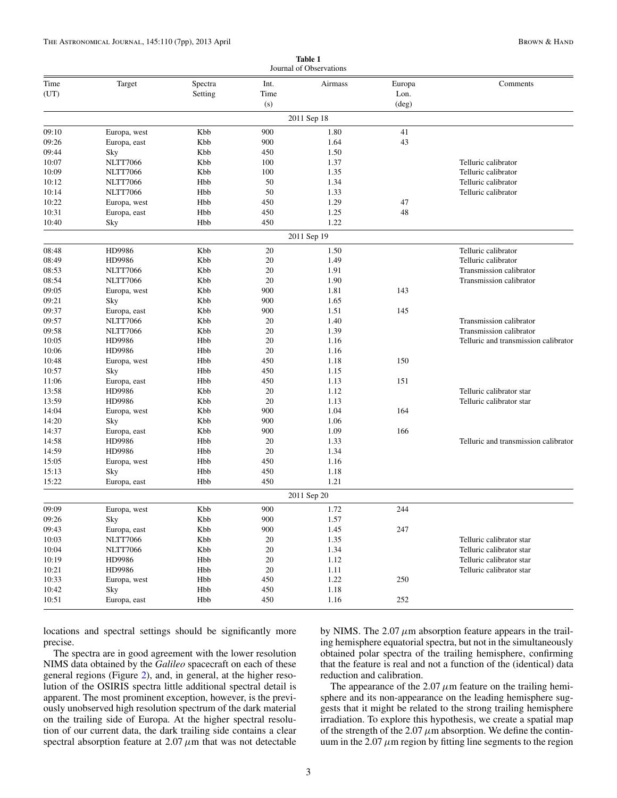<span id="page-2-0"></span>

| Journal of Observations |                 |         |      |             |                |                                      |
|-------------------------|-----------------|---------|------|-------------|----------------|--------------------------------------|
| Time                    | Target          | Spectra | Int. | Airmass     | Europa         | Comments                             |
| (UT)                    |                 | Setting | Time |             | Lon.           |                                      |
|                         |                 |         | (s)  |             | $(\text{deg})$ |                                      |
|                         |                 |         |      | 2011 Sep 18 |                |                                      |
| 09:10                   | Europa, west    | Kbb     | 900  | 1.80        | 41             |                                      |
| 09:26                   | Europa, east    | Kbb     | 900  | 1.64        | 43             |                                      |
| 09:44                   | Sky             | Kbb     | 450  | 1.50        |                |                                      |
| 10:07                   | <b>NLTT7066</b> | Kbb     | 100  | 1.37        |                | Telluric calibrator                  |
| 10:09                   | <b>NLTT7066</b> | Kbb     | 100  | 1.35        |                | Telluric calibrator                  |
| 10:12                   | <b>NLTT7066</b> | Hbb     | 50   | 1.34        |                | Telluric calibrator                  |
| 10:14                   | <b>NLTT7066</b> | Hbb     | 50   | 1.33        |                | Telluric calibrator                  |
| 10:22                   | Europa, west    | Hbb     | 450  | 1.29        | 47             |                                      |
| 10:31                   | Europa, east    | Hbb     | 450  | 1.25        | 48             |                                      |
| 10:40                   | Sky             | Hbb     | 450  | 1.22        |                |                                      |
|                         |                 |         |      | 2011 Sep 19 |                |                                      |
| 08:48                   | HD9986          | Kbb     | 20   | 1.50        |                | Telluric calibrator                  |
| 08:49                   | HD9986          | Kbb     | 20   | 1.49        |                | Telluric calibrator                  |
| 08:53                   | <b>NLTT7066</b> | Kbb     | 20   | 1.91        |                | Transmission calibrator              |
| 08:54                   | <b>NLTT7066</b> | Kbb     | 20   | 1.90        |                | Transmission calibrator              |
| 09:05                   | Europa, west    | Kbb     | 900  | 1.81        | 143            |                                      |
| 09:21                   | Sky             | Kbb     | 900  | 1.65        |                |                                      |
| 09:37                   | Europa, east    | Kbb     | 900  | 1.51        | 145            |                                      |
| 09:57                   | <b>NLTT7066</b> | Kbb     | 20   | 1.40        |                | Transmission calibrator              |
| 09:58                   | <b>NLTT7066</b> | Kbb     | 20   | 1.39        |                | Transmission calibrator              |
| 10:05                   | HD9986          | Hbb     | 20   | 1.16        |                | Telluric and transmission calibrator |
| 10:06                   | HD9986          | Hbb     | 20   | 1.16        |                |                                      |
| 10:48                   | Europa, west    | Hbb     | 450  | 1.18        | 150            |                                      |
| 10:57                   | Sky             | Hbb     | 450  | 1.15        |                |                                      |
| 11:06                   | Europa, east    | Hbb     | 450  | 1.13        | 151            |                                      |
| 13:58                   | HD9986          | Kbb     | 20   | 1.12        |                | Telluric calibrator star             |
| 13:59                   | HD9986          | Kbb     | 20   | 1.13        |                | Telluric calibrator star             |
| 14:04                   | Europa, west    | Kbb     | 900  | 1.04        | 164            |                                      |
| 14:20                   | Sky             | Kbb     | 900  | 1.06        |                |                                      |
| 14:37                   | Europa, east    | Kbb     | 900  | 1.09        | 166            |                                      |
| 14:58                   | HD9986          | Hbb     | 20   | 1.33        |                | Telluric and transmission calibrator |
| 14:59                   | HD9986          | Hbb     | 20   | 1.34        |                |                                      |
| 15:05                   | Europa, west    | Hbb     | 450  | 1.16        |                |                                      |
| 15:13                   | Sky             | Hbb     | 450  | 1.18        |                |                                      |
| 15:22                   | Europa, east    | Hbb     | 450  | 1.21        |                |                                      |
|                         |                 |         |      | 2011 Sep 20 |                |                                      |
| 09:09                   | Europa, west    | Kbb     | 900  | 1.72        | 244            |                                      |
| 09:26                   | Sky             | Kbb     | 900  | 1.57        |                |                                      |
| 09:43                   | Europa, east    | Kbb     | 900  | 1.45        | 247            |                                      |
| 10:03                   | <b>NLTT7066</b> | Kbb     | 20   | 1.35        |                | Telluric calibrator star             |
| 10:04                   | <b>NLTT7066</b> | Kbb     | 20   | 1.34        |                | Telluric calibrator star             |
| 10:19                   | HD9986          | Hbb     | 20   | 1.12        |                | Telluric calibrator star             |
| 10:21                   | HD9986          | Hbb     | 20   | 1.11        |                | Telluric calibrator star             |
| 10:33                   | Europa, west    | Hbb     | 450  | 1.22        | 250            |                                      |
| 10:42                   | Sky             | Hbb     | 450  | 1.18        |                |                                      |
| 10:51                   | Europa, east    | Hbb     | 450  | 1.16        | 252            |                                      |

**Table 1**

locations and spectral settings should be significantly more precise.

The spectra are in good agreement with the lower resolution NIMS data obtained by the *Galileo* spacecraft on each of these general regions (Figure [2\)](#page-3-0), and, in general, at the higher resolution of the OSIRIS spectra little additional spectral detail is apparent. The most prominent exception, however, is the previously unobserved high resolution spectrum of the dark material on the trailing side of Europa. At the higher spectral resolution of our current data, the dark trailing side contains a clear spectral absorption feature at 2.07*μ*m that was not detectable

by NIMS. The  $2.07 \mu m$  absorption feature appears in the trailing hemisphere equatorial spectra, but not in the simultaneously obtained polar spectra of the trailing hemisphere, confirming that the feature is real and not a function of the (identical) data reduction and calibration.

The appearance of the  $2.07 \mu m$  feature on the trailing hemisphere and its non-appearance on the leading hemisphere suggests that it might be related to the strong trailing hemisphere irradiation. To explore this hypothesis, we create a spatial map of the strength of the 2.07  $\mu$ m absorption. We define the continuum in the 2.07  $\mu$ m region by fitting line segments to the region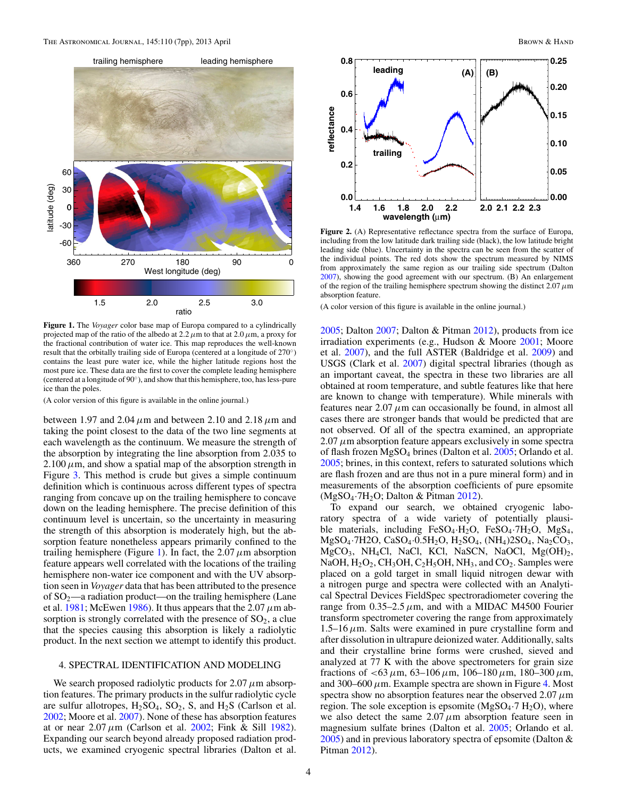<span id="page-3-0"></span>

**Figure 1.** The *Voyager* color base map of Europa compared to a cylindrically projected map of the ratio of the albedo at  $2.2 \mu$ m to that at  $2.0 \mu$ m, a proxy for the fractional contribution of water ice. This map reproduces the well-known result that the orbitally trailing side of Europa (centered at a longitude of 270◦) contains the least pure water ice, while the higher latitude regions host the most pure ice. These data are the first to cover the complete leading hemisphere (centered at a longitude of 90◦), and show that this hemisphere, too, has less-pure ice than the poles.

(A color version of this figure is available in the online journal.)

between 1.97 and 2.04*μ*m and between 2.10 and 2.18*μ*m and taking the point closest to the data of the two line segments at each wavelength as the continuum. We measure the strength of the absorption by integrating the line absorption from 2.035 to  $2.100 \mu$ m, and show a spatial map of the absorption strength in Figure [3.](#page-4-0) This method is crude but gives a simple continuum definition which is continuous across different types of spectra ranging from concave up on the trailing hemisphere to concave down on the leading hemisphere. The precise definition of this continuum level is uncertain, so the uncertainty in measuring the strength of this absorption is moderately high, but the absorption feature nonetheless appears primarily confined to the trailing hemisphere (Figure 1). In fact, the  $2.07 \mu$ m absorption feature appears well correlated with the locations of the trailing hemisphere non-water ice component and with the UV absorption seen in *Voyager* data that has been attributed to the presence of  $SO_2$ —a radiation product—on the trailing hemisphere (Lane et al. [1981;](#page-6-0) McEwen [1986\)](#page-6-0). It thus appears that the 2.07  $\mu$ m absorption is strongly correlated with the presence of  $SO_2$ , a clue that the species causing this absorption is likely a radiolytic product. In the next section we attempt to identify this product.

## 4. SPECTRAL IDENTIFICATION AND MODELING

We search proposed radiolytic products for 2.07*μ*m absorption features. The primary products in the sulfur radiolytic cycle are sulfur allotropes,  $H_2SO_4$ ,  $SO_2$ , S, and  $H_2S$  (Carlson et al. [2002;](#page-6-0) Moore et al. [2007\)](#page-6-0). None of these has absorption features at or near 2.07*μ*m (Carlson et al. [2002;](#page-6-0) Fink & Sill [1982\)](#page-6-0). Expanding our search beyond already proposed radiation products, we examined cryogenic spectral libraries (Dalton et al.



**Figure 2.** (A) Representative reflectance spectra from the surface of Europa, including from the low latitude dark trailing side (black), the low latitude bright leading side (blue). Uncertainty in the spectra can be seen from the scatter of the individual points. The red dots show the spectrum measured by NIMS from approximately the same region as our trailing side spectrum (Dalton [2007\)](#page-6-0), showing the good agreement with our spectrum. (B) An enlargement of the region of the trailing hemisphere spectrum showing the distinct 2.07*μ*m absorption feature.

(A color version of this figure is available in the online journal.)

[2005;](#page-6-0) Dalton [2007;](#page-6-0) Dalton & Pitman [2012\)](#page-6-0), products from ice irradiation experiments (e.g., Hudson & Moore [2001;](#page-6-0) Moore et al. [2007\)](#page-6-0), and the full ASTER (Baldridge et al. [2009\)](#page-6-0) and USGS (Clark et al. [2007\)](#page-6-0) digital spectral libraries (though as an important caveat, the spectra in these two libraries are all obtained at room temperature, and subtle features like that here are known to change with temperature). While minerals with features near  $2.07 \mu$ m can occasionally be found, in almost all cases there are stronger bands that would be predicted that are not observed. Of all of the spectra examined, an appropriate 2.07*μ*m absorption feature appears exclusively in some spectra of flash frozen MgSO4 brines (Dalton et al. [2005;](#page-6-0) Orlando et al. [2005;](#page-6-0) brines, in this context, refers to saturated solutions which are flash frozen and are thus not in a pure mineral form) and in measurements of the absorption coefficients of pure epsomite  $(MgSO<sub>4</sub>·7H<sub>2</sub>O; Dalton & Pitman 2012).$  $(MgSO<sub>4</sub>·7H<sub>2</sub>O; Dalton & Pitman 2012).$  $(MgSO<sub>4</sub>·7H<sub>2</sub>O; Dalton & Pitman 2012).$ 

To expand our search, we obtained cryogenic laboratory spectra of a wide variety of potentially plausible materials, including  $FeSO_4·H_2O$ ,  $FeSO_4·7H_2O$ ,  $MgS_4$ ,  $MgSO_4 \cdot 7H2O$ ,  $CaSO_4 \cdot 0.5H_2O$ ,  $H_2SO_4$ ,  $(NH_4)2SO_4$ ,  $Na_2CO_3$ , MgCO<sub>3</sub>, NH<sub>4</sub>Cl, NaCl, KCl, NaSCN, NaOCl, Mg(OH)<sub>2</sub>, NaOH,  $H_2O_2$ , CH<sub>3</sub>OH, C<sub>2</sub>H<sub>5</sub>OH, NH<sub>3</sub>, and CO<sub>2</sub>. Samples were placed on a gold target in small liquid nitrogen dewar with a nitrogen purge and spectra were collected with an Analytical Spectral Devices FieldSpec spectroradiometer covering the range from  $0.35-2.5 \mu m$ , and with a MIDAC M4500 Fourier transform spectrometer covering the range from approximately  $1.5-16 \mu$ m. Salts were examined in pure crystalline form and after dissolution in ultrapure deionized water. Additionally, salts and their crystalline brine forms were crushed, sieved and analyzed at 77 K with the above spectrometers for grain size fractions of *<*63*μ*m, 63–106*μ*m, 106–180*μ*m, 180–300*μ*m, and  $300-600 \mu$ m. Example spectra are shown in Figure [4.](#page-4-0) Most spectra show no absorption features near the observed 2.07*μ*m region. The sole exception is epsomite  $(MgSO_4 \tcdot 7 H_2 O)$ , where we also detect the same  $2.07 \mu m$  absorption feature seen in magnesium sulfate brines (Dalton et al. [2005;](#page-6-0) Orlando et al. [2005\)](#page-6-0) and in previous laboratory spectra of epsomite (Dalton & Pitman [2012\)](#page-6-0).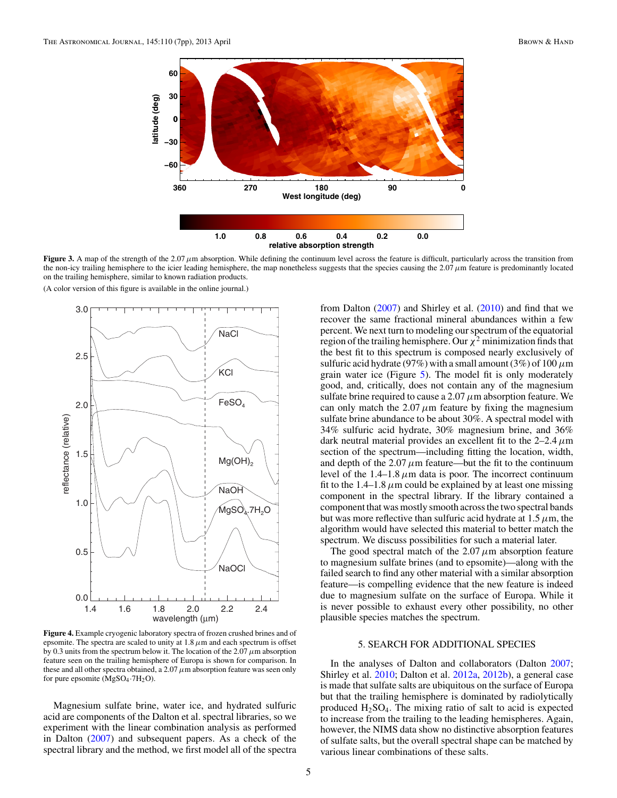<span id="page-4-0"></span>

**Figure 3.** A map of the strength of the 2.07*μ*m absorption. While defining the continuum level across the feature is difficult, particularly across the transition from the non-icy trailing hemisphere to the icier leading hemisphere, the map nonetheless suggests that the species causing the 2.07 μm feature is predominantly located on the trailing hemisphere, similar to known radiation products.

(A color version of this figure is available in the online journal.)



**Figure 4.** Example cryogenic laboratory spectra of frozen crushed brines and of epsomite. The spectra are scaled to unity at  $1.8 \mu$ m and each spectrum is offset by 0.3 units from the spectrum below it. The location of the 2.07*μ*m absorption feature seen on the trailing hemisphere of Europa is shown for comparison. In these and all other spectra obtained, a 2.07*μ*m absorption feature was seen only for pure epsomite  $(MgSO<sub>4</sub>·7H<sub>2</sub>O)$ .

Magnesium sulfate brine, water ice, and hydrated sulfuric acid are components of the Dalton et al. spectral libraries, so we experiment with the linear combination analysis as performed in Dalton [\(2007\)](#page-6-0) and subsequent papers. As a check of the spectral library and the method, we first model all of the spectra

from Dalton [\(2007\)](#page-6-0) and Shirley et al. [\(2010\)](#page-6-0) and find that we recover the same fractional mineral abundances within a few percent. We next turn to modeling our spectrum of the equatorial region of the trailing hemisphere. Our  $\chi^2$  minimization finds that the best fit to this spectrum is composed nearly exclusively of sulfuric acid hydrate (97%) with a small amount (3%) of 100  $\mu$ m grain water ice (Figure [5\)](#page-5-0). The model fit is only moderately good, and, critically, does not contain any of the magnesium sulfate brine required to cause a 2.07  $\mu$ m absorption feature. We can only match the  $2.07 \mu m$  feature by fixing the magnesium sulfate brine abundance to be about 30%. A spectral model with 34% sulfuric acid hydrate, 30% magnesium brine, and 36% dark neutral material provides an excellent fit to the 2–2.4*μ*m section of the spectrum—including fitting the location, width, and depth of the  $2.07 \mu m$  feature—but the fit to the continuum level of the  $1.4-1.8 \mu m$  data is poor. The incorrect continuum fit to the 1.4–1.8  $\mu$ m could be explained by at least one missing component in the spectral library. If the library contained a component that was mostly smooth across the two spectral bands but was more reflective than sulfuric acid hydrate at 1.5*μ*m, the algorithm would have selected this material to better match the spectrum. We discuss possibilities for such a material later.

The good spectral match of the  $2.07 \mu m$  absorption feature to magnesium sulfate brines (and to epsomite)—along with the failed search to find any other material with a similar absorption feature—is compelling evidence that the new feature is indeed due to magnesium sulfate on the surface of Europa. While it is never possible to exhaust every other possibility, no other plausible species matches the spectrum.

# 5. SEARCH FOR ADDITIONAL SPECIES

In the analyses of Dalton and collaborators (Dalton [2007;](#page-6-0) Shirley et al. [2010;](#page-6-0) Dalton et al. [2012a,](#page-6-0) [2012b\)](#page-6-0), a general case is made that sulfate salts are ubiquitous on the surface of Europa but that the trailing hemisphere is dominated by radiolytically produced  $H_2SO_4$ . The mixing ratio of salt to acid is expected to increase from the trailing to the leading hemispheres. Again, however, the NIMS data show no distinctive absorption features of sulfate salts, but the overall spectral shape can be matched by various linear combinations of these salts.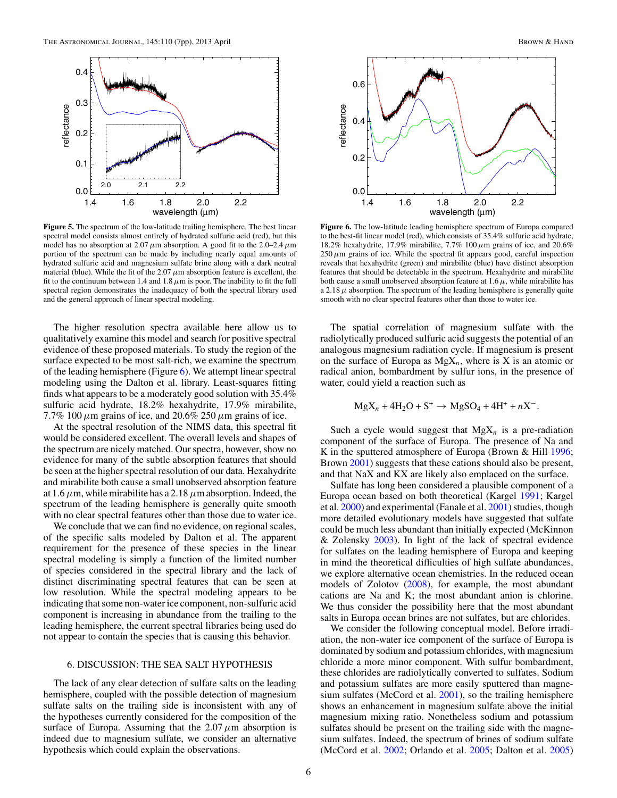<span id="page-5-0"></span>

**Figure 5.** The spectrum of the low-latitude trailing hemisphere. The best linear spectral model consists almost entirely of hydrated sulfuric acid (red), but this model has no absorption at 2.07*μ*m absorption. A good fit to the 2.0–2.4*μ*m portion of the spectrum can be made by including nearly equal amounts of hydrated sulfuric acid and magnesium sulfate brine along with a dark neutral material (blue). While the fit of the  $2.07 \mu$ m absorption feature is excellent, the fit to the continuum between 1.4 and 1.8  $\mu$ m is poor. The inability to fit the full spectral region demonstrates the inadequacy of both the spectral library used and the general approach of linear spectral modeling.

The higher resolution spectra available here allow us to qualitatively examine this model and search for positive spectral evidence of these proposed materials. To study the region of the surface expected to be most salt-rich, we examine the spectrum of the leading hemisphere (Figure 6). We attempt linear spectral modeling using the Dalton et al. library. Least-squares fitting finds what appears to be a moderately good solution with 35.4% sulfuric acid hydrate, 18.2% hexahydrite, 17.9% mirabilite, 7.7% 100*μ*m grains of ice, and 20.6% 250*μ*m grains of ice.

At the spectral resolution of the NIMS data, this spectral fit would be considered excellent. The overall levels and shapes of the spectrum are nicely matched. Our spectra, however, show no evidence for many of the subtle absorption features that should be seen at the higher spectral resolution of our data. Hexahydrite and mirabilite both cause a small unobserved absorption feature at 1.6*μ*m, while mirabilite has a 2.18*μ*m absorption. Indeed, the spectrum of the leading hemisphere is generally quite smooth with no clear spectral features other than those due to water ice.

We conclude that we can find no evidence, on regional scales, of the specific salts modeled by Dalton et al. The apparent requirement for the presence of these species in the linear spectral modeling is simply a function of the limited number of species considered in the spectral library and the lack of distinct discriminating spectral features that can be seen at low resolution. While the spectral modeling appears to be indicating that some non-water ice component, non-sulfuric acid component is increasing in abundance from the trailing to the leading hemisphere, the current spectral libraries being used do not appear to contain the species that is causing this behavior.

### 6. DISCUSSION: THE SEA SALT HYPOTHESIS

The lack of any clear detection of sulfate salts on the leading hemisphere, coupled with the possible detection of magnesium sulfate salts on the trailing side is inconsistent with any of the hypotheses currently considered for the composition of the surface of Europa. Assuming that the  $2.07 \mu m$  absorption is indeed due to magnesium sulfate, we consider an alternative hypothesis which could explain the observations.



**Figure 6.** The low-latitude leading hemisphere spectrum of Europa compared to the best-fit linear model (red), which consists of 35.4% sulfuric acid hydrate, 18.2% hexahydrite, 17.9% mirabilite, 7.7% 100*μ*m grains of ice, and 20.6%  $250 \mu$ m grains of ice. While the spectral fit appears good, careful inspection reveals that hexahydrite (green) and mirabilite (blue) have distinct absorption features that should be detectable in the spectrum. Hexahydrite and mirabilite both cause a small unobserved absorption feature at  $1.6 \mu$ , while mirabilite has a 2.18  $\mu$  absorption. The spectrum of the leading hemisphere is generally quite smooth with no clear spectral features other than those to water ice.

The spatial correlation of magnesium sulfate with the radiolytically produced sulfuric acid suggests the potential of an analogous magnesium radiation cycle. If magnesium is present on the surface of Europa as  $MgX_n$ , where is X is an atomic or radical anion, bombardment by sulfur ions, in the presence of water, could yield a reaction such as

$$
MgX_n + 4H_2O + S^+ \to MgSO_4 + 4H^+ + nX^-.
$$

Such a cycle would suggest that  $MgX_n$  is a pre-radiation component of the surface of Europa. The presence of Na and K in the sputtered atmosphere of Europa (Brown & Hill [1996;](#page-6-0) Brown [2001\)](#page-6-0) suggests that these cations should also be present, and that NaX and KX are likely also emplaced on the surface.

Sulfate has long been considered a plausible component of a Europa ocean based on both theoretical (Kargel [1991;](#page-6-0) Kargel et al. [2000\)](#page-6-0) and experimental (Fanale et al. [2001\)](#page-6-0) studies, though more detailed evolutionary models have suggested that sulfate could be much less abundant than initially expected (McKinnon & Zolensky [2003\)](#page-6-0). In light of the lack of spectral evidence for sulfates on the leading hemisphere of Europa and keeping in mind the theoretical difficulties of high sulfate abundances, we explore alternative ocean chemistries. In the reduced ocean models of Zolotov [\(2008\)](#page-6-0), for example, the most abundant cations are Na and K; the most abundant anion is chlorine. We thus consider the possibility here that the most abundant salts in Europa ocean brines are not sulfates, but are chlorides.

We consider the following conceptual model. Before irradiation, the non-water ice component of the surface of Europa is dominated by sodium and potassium chlorides, with magnesium chloride a more minor component. With sulfur bombardment, these chlorides are radiolytically converted to sulfates. Sodium and potassium sulfates are more easily sputtered than magne-sium sulfates (McCord et al. [2001\)](#page-6-0), so the trailing hemisphere shows an enhancement in magnesium sulfate above the initial magnesium mixing ratio. Nonetheless sodium and potassium sulfates should be present on the trailing side with the magnesium sulfates. Indeed, the spectrum of brines of sodium sulfate (McCord et al. [2002;](#page-6-0) Orlando et al. [2005;](#page-6-0) Dalton et al. [2005\)](#page-6-0)